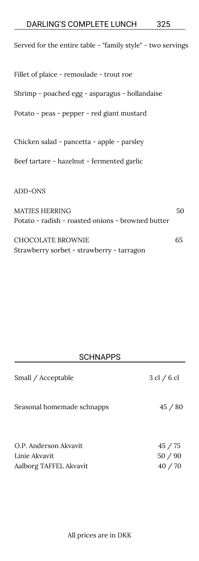| Served for the entire table - "family style" - two servings |    |
|-------------------------------------------------------------|----|
| Fillet of plaice - remoulade - trout roe                    |    |
| Shrimp - poached egg - asparagus - hollandaise              |    |
| Potato - peas - pepper - red giant mustard                  |    |
| Chicken salad - pancetta - apple - parsley                  |    |
| Beef tartare - hazelnut - fermented garlic                  |    |
| ADD-ONS                                                     |    |
| <b>MATJES HERRING</b>                                       | 50 |

| CHOCOLATE BROWNIE                         | 65 |
|-------------------------------------------|----|
| Strawberry sorbet - strawberry - tarragon |    |

Potato - radish - roasted onions - browned butter

### **SCHNAPPS**

| Small / Acceptable                                               | $3 \text{ cl } 6 \text{ cl }$ |
|------------------------------------------------------------------|-------------------------------|
| Seasonal homemade schnapps                                       | 45/80                         |
| O.P. Anderson Akvavit<br>Linie Akvavit<br>Aalborg TAFFEL Akvavit | 45/75<br>50/90<br>40/70       |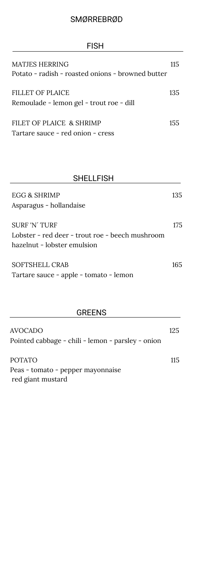## SMØRREBRØD

| <b>FISH</b>                                                                                                       |     |
|-------------------------------------------------------------------------------------------------------------------|-----|
| MATJES HERRING                                                                                                    | 115 |
| Potato - radish - roasted onions - browned butter<br>FILLET OF PLAICE<br>Remoulade - lemon gel - trout roe - dill | 135 |
| FILET OF PLAICE & SHRIMP<br>Tartare sauce - red onion - cress                                                     | 155 |

| <b>SHELLFISH</b>                                                                                       |     |
|--------------------------------------------------------------------------------------------------------|-----|
| EGG & SHRIMP<br>Asparagus - hollandaise                                                                | 135 |
| <b>SURF 'N' TURF</b><br>Lobster - red deer - trout roe - beech mushroom<br>hazelnut - lobster emulsion | 175 |
| SOFTSHELL CRAB<br>Tartare sauce - apple - tomato - lemon                                               | 165 |

# GREENS

| AVOCADO                                           | 125 |
|---------------------------------------------------|-----|
| Pointed cabbage - chili - lemon - parsley - onion |     |
| POTATO                                            | 115 |
| Peas - tomato - pepper mayonnaise                 |     |
| red giant mustard                                 |     |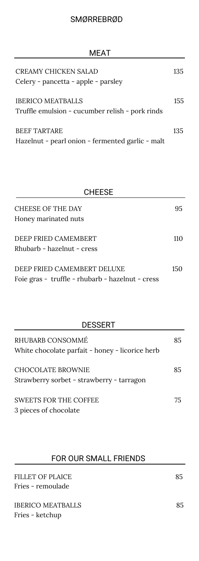| CREAMY CHICKEN SALAD<br>Celery - pancetta - apple - parsley                 | 135 |
|-----------------------------------------------------------------------------|-----|
| <b>IBERICO MEATBALLS</b><br>Truffle emulsion - cucumber relish - pork rinds | 155 |
| <b>BEEF TARTARE</b><br>Hazelnut - pearl onion - fermented garlic - malt     | 135 |

| <b>CHEESE</b>                                    |     |
|--------------------------------------------------|-----|
| <b>CHEESE OF THE DAY</b>                         | 95. |
| Honey marinated nuts                             |     |
| DEEP FRIED CAMEMBERT                             | 110 |
| Rhubarb - hazelnut - cress                       |     |
| DEEP FRIED CAMEMBERT DELUXE                      | 150 |
| Foie gras - truffle - rhubarb - hazelnut - cress |     |

| <b>DESSERT</b>                                                      |    |
|---------------------------------------------------------------------|----|
| RHUBARB CONSOMMÉ<br>White chocolate parfait - honey - licorice herb | 85 |
| CHOCOLATE BROWNIE<br>Strawberry sorbet - strawberry - tarragon      | 85 |
| <b>SWEETS FOR THE COFFEE</b><br>3 pieces of chocolate               | 75 |

## FOR OUR SMALL FRIENDS

| FILLET OF PLAICE<br>Fries - remoulade | 85 |
|---------------------------------------|----|
| IBERICO MEATBALLS<br>Fries - ketchup  | 85 |